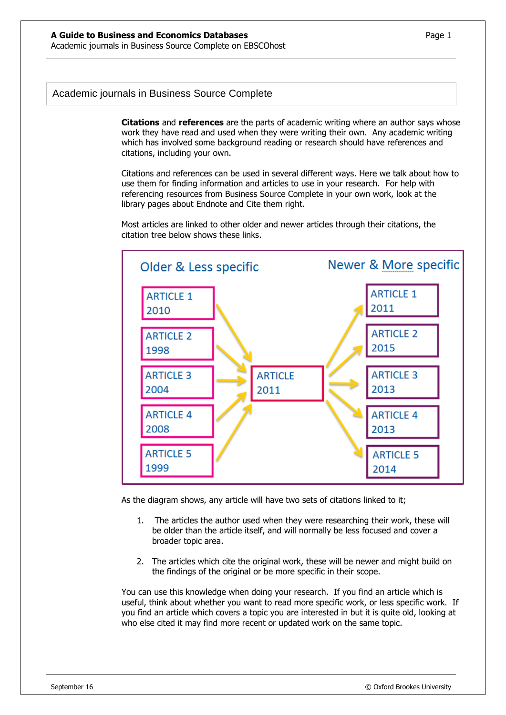## Academic journals in Business Source Complete

**Citations** and **references** are the parts of academic writing where an author says whose work they have read and used when they were writing their own. Any academic writing which has involved some background reading or research should have references and citations, including your own.

Citations and references can be used in several different ways. Here we talk about how to use them for finding information and articles to use in your research. For help with referencing resources from Business Source Complete in your own work, look at the library pages about Endnote and Cite them right.

Most articles are linked to other older and newer articles through their citations, the citation tree below shows these links.



As the diagram shows, any article will have two sets of citations linked to it;

- 1. The articles the author used when they were researching their work, these will be older than the article itself, and will normally be less focused and cover a broader topic area.
- 2. The articles which cite the original work, these will be newer and might build on the findings of the original or be more specific in their scope.

You can use this knowledge when doing your research. If you find an article which is useful, think about whether you want to read more specific work, or less specific work. If you find an article which covers a topic you are interested in but it is quite old, looking at who else cited it may find more recent or updated work on the same topic.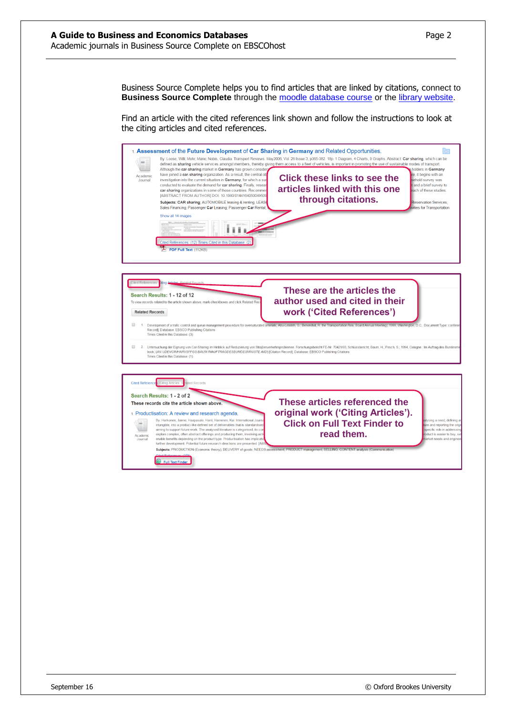Business Source Complete helps you to find articles that are linked by citations, connect to **Business Source Complete** through the [moodle database course](https://moodle.brookes.ac.uk/course/view.php?id=19192) or the [library website.](http://www.brookes.ac.uk/Library/Subject-help/Business--Marketing-and-Economics/)

Find an article with the cited references link shown and follow the instructions to look at the citing articles and cited references.